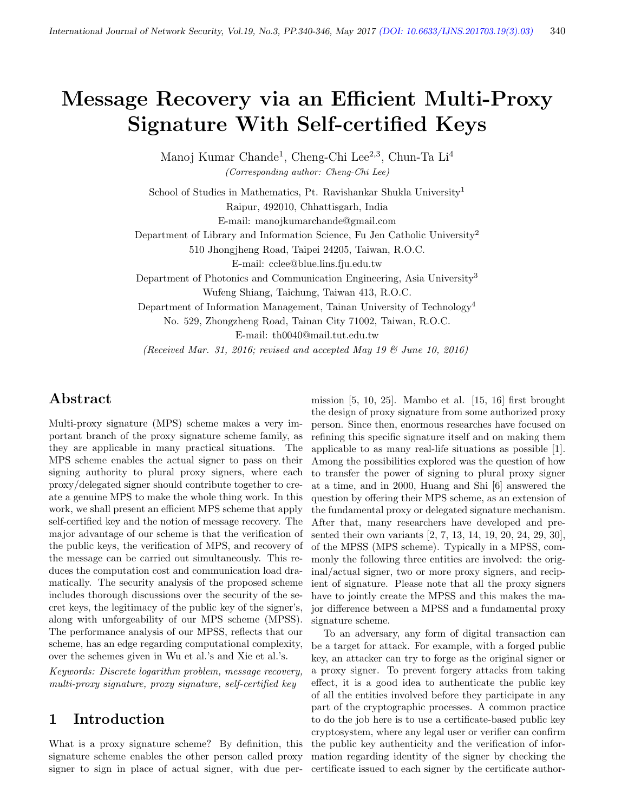# Message Recovery via an Efficient Multi-Proxy Signature With Self-certified Keys

Manoj Kumar Chande<sup>1</sup>, Cheng-Chi Lee<sup>2,3</sup>, Chun-Ta Li<sup>4</sup> (Corresponding author: Cheng-Chi Lee)

School of Studies in Mathematics, Pt. Ravishankar Shukla University<sup>1</sup> Raipur, 492010, Chhattisgarh, India

E-mail: manojkumarchande@gmail.com

Department of Library and Information Science, Fu Jen Catholic University<sup>2</sup>

510 Jhongjheng Road, Taipei 24205, Taiwan, R.O.C.

E-mail: cclee@blue.lins.fju.edu.tw

Department of Photonics and Communication Engineering, Asia University<sup>3</sup> Wufeng Shiang, Taichung, Taiwan 413, R.O.C.

Department of Information Management, Tainan University of Technology<sup>4</sup>

No. 529, Zhongzheng Road, Tainan City 71002, Taiwan, R.O.C.

E-mail: th0040@mail.tut.edu.tw

(Received Mar. 31, 2016; revised and accepted May 19 & June 10, 2016)

#### Abstract

Multi-proxy signature (MPS) scheme makes a very important branch of the proxy signature scheme family, as they are applicable in many practical situations. The MPS scheme enables the actual signer to pass on their signing authority to plural proxy signers, where each proxy/delegated signer should contribute together to create a genuine MPS to make the whole thing work. In this work, we shall present an efficient MPS scheme that apply self-certified key and the notion of message recovery. The major advantage of our scheme is that the verification of the public keys, the verification of MPS, and recovery of the message can be carried out simultaneously. This reduces the computation cost and communication load dramatically. The security analysis of the proposed scheme includes thorough discussions over the security of the secret keys, the legitimacy of the public key of the signer's, along with unforgeability of our MPS scheme (MPSS). The performance analysis of our MPSS, reflects that our scheme, has an edge regarding computational complexity, over the schemes given in Wu et al.'s and Xie et al.'s.

Keywords: Discrete logarithm problem, message recovery, multi-proxy signature, proxy signature, self-certified key

## 1 Introduction

What is a proxy signature scheme? By definition, this signature scheme enables the other person called proxy signer to sign in place of actual signer, with due per-

mission [5, 10, 25]. Mambo et al. [15, 16] first brought the design of proxy signature from some authorized proxy person. Since then, enormous researches have focused on refining this specific signature itself and on making them applicable to as many real-life situations as possible [1]. Among the possibilities explored was the question of how to transfer the power of signing to plural proxy signer at a time, and in 2000, Huang and Shi [6] answered the question by offering their MPS scheme, as an extension of the fundamental proxy or delegated signature mechanism. After that, many researchers have developed and presented their own variants [2, 7, 13, 14, 19, 20, 24, 29, 30], of the MPSS (MPS scheme). Typically in a MPSS, commonly the following three entities are involved: the original/actual signer, two or more proxy signers, and recipient of signature. Please note that all the proxy signers have to jointly create the MPSS and this makes the major difference between a MPSS and a fundamental proxy signature scheme.

To an adversary, any form of digital transaction can be a target for attack. For example, with a forged public key, an attacker can try to forge as the original signer or a proxy signer. To prevent forgery attacks from taking effect, it is a good idea to authenticate the public key of all the entities involved before they participate in any part of the cryptographic processes. A common practice to do the job here is to use a certificate-based public key cryptosystem, where any legal user or verifier can confirm the public key authenticity and the verification of information regarding identity of the signer by checking the certificate issued to each signer by the certificate author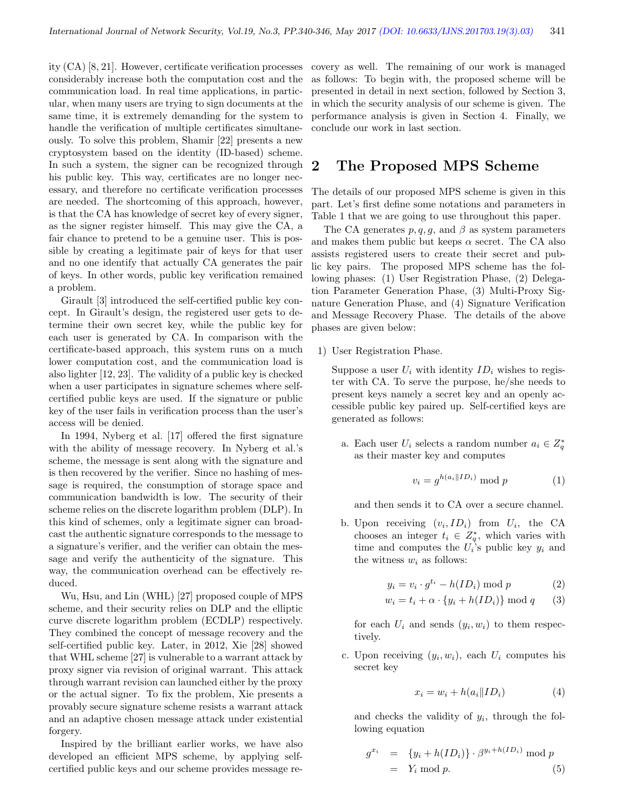ity (CA) [8, 21]. However, certificate verification processes considerably increase both the computation cost and the communication load. In real time applications, in particular, when many users are trying to sign documents at the same time, it is extremely demanding for the system to handle the verification of multiple certificates simultaneously. To solve this problem, Shamir [22] presents a new cryptosystem based on the identity (ID-based) scheme. In such a system, the signer can be recognized through his public key. This way, certificates are no longer necessary, and therefore no certificate verification processes are needed. The shortcoming of this approach, however, is that the CA has knowledge of secret key of every signer, as the signer register himself. This may give the CA, a fair chance to pretend to be a genuine user. This is possible by creating a legitimate pair of keys for that user and no one identify that actually CA generates the pair of keys. In other words, public key verification remained a problem.

Girault [3] introduced the self-certified public key concept. In Girault's design, the registered user gets to determine their own secret key, while the public key for each user is generated by CA. In comparison with the certificate-based approach, this system runs on a much lower computation cost, and the communication load is also lighter [12, 23]. The validity of a public key is checked when a user participates in signature schemes where selfcertified public keys are used. If the signature or public key of the user fails in verification process than the user's access will be denied.

In 1994, Nyberg et al. [17] offered the first signature with the ability of message recovery. In Nyberg et al.'s scheme, the message is sent along with the signature and is then recovered by the verifier. Since no hashing of message is required, the consumption of storage space and communication bandwidth is low. The security of their scheme relies on the discrete logarithm problem (DLP). In this kind of schemes, only a legitimate signer can broadcast the authentic signature corresponds to the message to a signature's verifier, and the verifier can obtain the message and verify the authenticity of the signature. This way, the communication overhead can be effectively reduced.

Wu, Hsu, and Lin (WHL) [27] proposed couple of MPS scheme, and their security relies on DLP and the elliptic curve discrete logarithm problem (ECDLP) respectively. They combined the concept of message recovery and the self-certified public key. Later, in 2012, Xie [28] showed that WHL scheme [27] is vulnerable to a warrant attack by proxy signer via revision of original warrant. This attack through warrant revision can launched either by the proxy or the actual signer. To fix the problem, Xie presents a provably secure signature scheme resists a warrant attack and an adaptive chosen message attack under existential forgery.

Inspired by the brilliant earlier works, we have also developed an efficient MPS scheme, by applying selfcertified public keys and our scheme provides message recovery as well. The remaining of our work is managed as follows: To begin with, the proposed scheme will be presented in detail in next section, followed by Section 3, in which the security analysis of our scheme is given. The performance analysis is given in Section 4. Finally, we conclude our work in last section.

#### 2 The Proposed MPS Scheme

The details of our proposed MPS scheme is given in this part. Let's first define some notations and parameters in Table 1 that we are going to use throughout this paper.

The CA generates  $p, q, g$ , and  $\beta$  as system parameters and makes them public but keeps  $\alpha$  secret. The CA also assists registered users to create their secret and public key pairs. The proposed MPS scheme has the following phases: (1) User Registration Phase, (2) Delegation Parameter Generation Phase, (3) Multi-Proxy Signature Generation Phase, and (4) Signature Verification and Message Recovery Phase. The details of the above phases are given below:

1) User Registration Phase.

Suppose a user  $U_i$  with identity  $ID_i$  wishes to register with CA. To serve the purpose, he/she needs to present keys namely a secret key and an openly accessible public key paired up. Self-certified keys are generated as follows:

a. Each user  $U_i$  selects a random number  $a_i \in Z_q^*$ as their master key and computes

$$
v_i = g^{h(a_i \parallel ID_i)} \bmod p \tag{1}
$$

and then sends it to CA over a secure channel.

b. Upon receiving  $(v_i, ID_i)$  from  $U_i$ , the CA chooses an integer  $t_i \in Z_q^*$ , which varies with time and computes the  $U_i$ 's public key  $y_i$  and the witness  $w_i$  as follows:

$$
y_i = v_i \cdot g^{t_i} - h(ID_i) \bmod p \tag{2}
$$

$$
w_i = t_i + \alpha \cdot \{y_i + h(ID_i)\} \bmod q \qquad (3)
$$

for each  $U_i$  and sends  $(y_i, w_i)$  to them respectively.

c. Upon receiving  $(y_i, w_i)$ , each  $U_i$  computes his secret key

$$
x_i = w_i + h(a_i \| ID_i)
$$
 (4)

and checks the validity of  $y_i$ , through the following equation

$$
g^{x_i} = \{y_i + h(ID_i)\} \cdot \beta^{y_i + h(ID_i)} \mod p
$$
  
=  $Y_i \mod p.$  (5)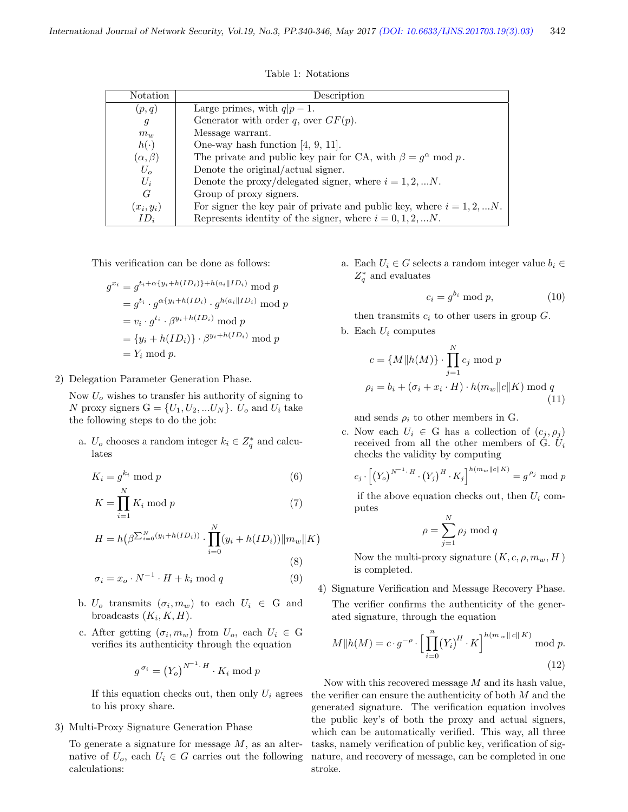| <b>Notation</b>   | Description                                                                |  |  |
|-------------------|----------------------------------------------------------------------------|--|--|
| (p, q)            | Large primes, with $q p-1$ .                                               |  |  |
| $\mathfrak{g}$    | Generator with order q, over $GF(p)$ .                                     |  |  |
| $m_{w}$           | Message warrant.                                                           |  |  |
| $h(\cdot)$        | One-way hash function $[4, 9, 11]$ .                                       |  |  |
| $(\alpha, \beta)$ | The private and public key pair for CA, with $\beta = g^{\alpha} \mod p$ . |  |  |
| $U_o$             | Denote the original/actual signer.                                         |  |  |
| $U_i$             | Denote the proxy/delegated signer, where $i = 1, 2, N$ .                   |  |  |
| G                 | Group of proxy signers.                                                    |  |  |
| $(x_i, y_i)$      | For signer the key pair of private and public key, where $i = 1, 2, N$ .   |  |  |
| $ID_i$            | Represents identity of the signer, where $i = 0, 1, 2, N$ .                |  |  |

Table 1: Notations

This verification can be done as follows:

$$
g^{x_i} = g^{t_i + \alpha \{y_i + h(ID_i)\} + h(a_i||ID_i) \mod p}
$$
  
=  $g^{t_i} \cdot g^{\alpha \{y_i + h(ID_i) \}} \cdot g^{h(a_i||ID_i)} \mod p$   
=  $v_i \cdot g^{t_i} \cdot \beta^{y_i + h(ID_i)} \mod p$   
=  $\{y_i + h(ID_i)\} \cdot \beta^{y_i + h(ID_i)} \mod p$   
=  $Y_i \mod p$ .

2) Delegation Parameter Generation Phase.

Now  $U<sub>o</sub>$  wishes to transfer his authority of signing to N proxy signers  $G = \{U_1, U_2, ... U_N\}$ .  $U_o$  and  $U_i$  take the following steps to do the job:

a.  $U_o$  chooses a random integer  $k_i \in Z_q^*$  and calculates

$$
K_i = g^{k_i} \bmod p \tag{6}
$$

$$
K = \prod_{i=1}^{N} K_i \bmod p \tag{7}
$$

$$
H = h\big(\beta \sum_{i=0}^{N} (y_i + h(ID_i)) \cdot \prod_{i=0}^{N} (y_i + h(ID_i)) ||m_w||K\big)
$$
\n(8)

$$
\sigma_i = x_o \cdot N^{-1} \cdot H + k_i \mod q \tag{9}
$$

- b.  $U_o$  transmits  $(\sigma_i, m_w)$  to each  $U_i \in G$  and broadcasts  $(K_i, K, H)$ .
- c. After getting  $(\sigma_i, m_w)$  from  $U_o$ , each  $U_i \in G$ verifies its authenticity through the equation

$$
g^{\sigma_i} = (Y_o)^{N^{-1} \cdot H} \cdot K_i \bmod p
$$

If this equation checks out, then only  $U_i$  agrees to his proxy share.

3) Multi-Proxy Signature Generation Phase

To generate a signature for message  $M$ , as an alternative of  $U_o$ , each  $U_i \in G$  carries out the following calculations:

a. Each  $U_i \in G$  selects a random integer value  $b_i \in$  $Z_q^*$  and evaluates

$$
c_i = g^{b_i} \bmod p,\tag{10}
$$

then transmits  $c_i$  to other users in group  $G$ .

b. Each  $U_i$  computes

$$
c = \{M || h(M)\} \cdot \prod_{j=1}^{N} c_j \mod p
$$
  

$$
\rho_i = b_i + (\sigma_i + x_i \cdot H) \cdot h(m_w || c || K) \mod q
$$
  
(11)

and sends  $\rho_i$  to other members in G.

c. Now each  $U_i \in G$  has a collection of  $(c_j, \rho_j)$ received from all the other members of G.  $U_i$ checks the validity by computing

$$
c_j \cdot \left[ \left( Y_o \right)^{N^{-1} \cdot H} \cdot \left( Y_j \right)^H \cdot K_j \right]^{h(m_w ||c||K)} = g^{\rho_j} \text{ mod } p
$$

if the above equation checks out, then  $U_i$  computes

$$
\rho = \sum_{j=1}^{N} \rho_j \text{ mod } q
$$

Now the multi-proxy signature  $(K, c, \rho, m_w, H)$ is completed.

4) Signature Verification and Message Recovery Phase. The verifier confirms the authenticity of the generated signature, through the equation

$$
M \| h(M) = c \cdot g^{-\rho} \cdot \Big[ \prod_{i=0}^{n} (Y_i)^H \cdot K \Big]^{h(m_w \| c \| K)} \mod p.
$$
\n(12)

Now with this recovered message  $M$  and its hash value, the verifier can ensure the authenticity of both M and the generated signature. The verification equation involves the public key's of both the proxy and actual signers, which can be automatically verified. This way, all three tasks, namely verification of public key, verification of signature, and recovery of message, can be completed in one stroke.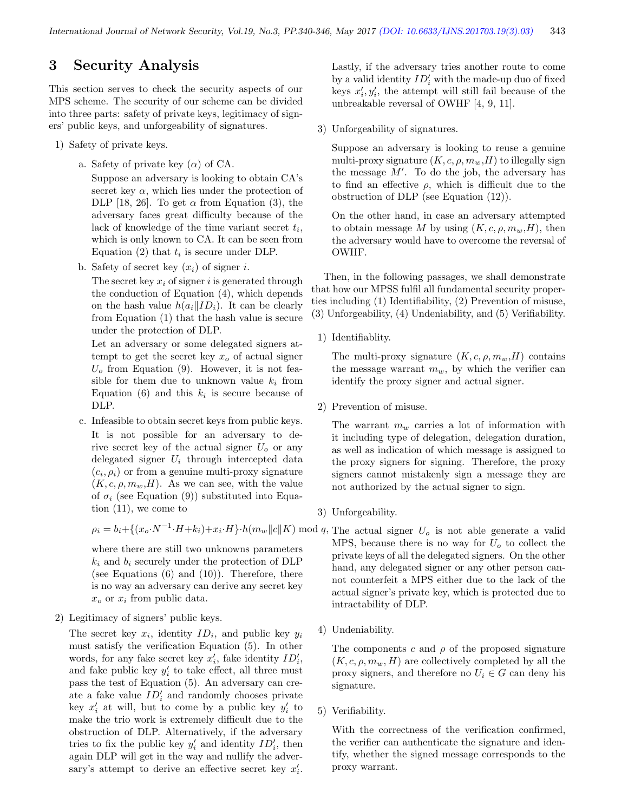## 3 Security Analysis

This section serves to check the security aspects of our MPS scheme. The security of our scheme can be divided into three parts: safety of private keys, legitimacy of signers' public keys, and unforgeability of signatures.

- 1) Safety of private keys.
	- a. Safety of private key  $(\alpha)$  of CA.

Suppose an adversary is looking to obtain CA's secret key  $\alpha$ , which lies under the protection of DLP [18, 26]. To get  $\alpha$  from Equation (3), the adversary faces great difficulty because of the lack of knowledge of the time variant secret  $t_i$ , which is only known to CA. It can be seen from Equation (2) that  $t_i$  is secure under DLP.

b. Safety of secret key  $(x_i)$  of signer i.

The secret key  $x_i$  of signer i is generated through the conduction of Equation (4), which depends on the hash value  $h(a_i||ID_i)$ . It can be clearly from Equation (1) that the hash value is secure under the protection of DLP.

Let an adversary or some delegated signers attempt to get the secret key  $x<sub>o</sub>$  of actual signer  $U<sub>o</sub>$  from Equation (9). However, it is not feasible for them due to unknown value  $k_i$  from Equation (6) and this  $k_i$  is secure because of DLP.

c. Infeasible to obtain secret keys from public keys. It is not possible for an adversary to derive secret key of the actual signer  $U<sub>o</sub>$  or any delegated signer  $U_i$  through intercepted data  $(c_i, \rho_i)$  or from a genuine multi-proxy signature  $(K, c, \rho, m_w, H)$ . As we can see, with the value of  $\sigma_i$  (see Equation (9)) substituted into Equation (11), we come to

$$
\rho_i = b_i + \{(x_o \cdot N^{-1} \cdot H + k_i) + x_i \cdot H\} \cdot h(m_w || c || K) \bmod q,
$$

where there are still two unknowns parameters  $k_i$  and  $b_i$  securely under the protection of DLP (see Equations  $(6)$  and  $(10)$ ). Therefore, there is no way an adversary can derive any secret key  $x<sub>o</sub>$  or  $x<sub>i</sub>$  from public data.

2) Legitimacy of signers' public keys.

The secret key  $x_i$ , identity  $ID_i$ , and public key  $y_i$ must satisfy the verification Equation (5). In other words, for any fake secret key  $x'_i$ , fake identity  $ID'_i$ , and fake public key  $y_i'$  to take effect, all three must pass the test of Equation (5). An adversary can create a fake value  $ID'_i$  and randomly chooses private key  $x'_i$  at will, but to come by a public key  $y'_i$  to make the trio work is extremely difficult due to the obstruction of DLP. Alternatively, if the adversary tries to fix the public key  $y'_i$  and identity  $ID'_i$ , then again DLP will get in the way and nullify the adversary's attempt to derive an effective secret key  $x_i'$ .

Lastly, if the adversary tries another route to come by a valid identity  $ID'_i$  with the made-up duo of fixed keys  $x_i', y_i'$ , the attempt will still fail because of the unbreakable reversal of OWHF [4, 9, 11].

3) Unforgeability of signatures.

Suppose an adversary is looking to reuse a genuine multi-proxy signature  $(K, c, \rho, m_w, H)$  to illegally sign the message  $M'$ . To do the job, the adversary has to find an effective  $\rho$ , which is difficult due to the obstruction of DLP (see Equation (12)).

On the other hand, in case an adversary attempted to obtain message M by using  $(K, c, \rho, m_w, H)$ , then the adversary would have to overcome the reversal of OWHF.

Then, in the following passages, we shall demonstrate that how our MPSS fulfil all fundamental security properties including (1) Identifiability, (2) Prevention of misuse, (3) Unforgeability, (4) Undeniability, and (5) Verifiability.

1) Identifiablity.

The multi-proxy signature  $(K, c, \rho, m_w, H)$  contains the message warrant  $m_w$ , by which the verifier can identify the proxy signer and actual signer.

2) Prevention of misuse.

The warrant  $m_w$  carries a lot of information with it including type of delegation, delegation duration, as well as indication of which message is assigned to the proxy signers for signing. Therefore, the proxy signers cannot mistakenly sign a message they are not authorized by the actual signer to sign.

3) Unforgeability.

 $q$ , The actual signer  $U_o$  is not able generate a valid MPS, because there is no way for  $U<sub>o</sub>$  to collect the private keys of all the delegated signers. On the other hand, any delegated signer or any other person cannot counterfeit a MPS either due to the lack of the actual signer's private key, which is protected due to intractability of DLP.

4) Undeniability.

The components c and  $\rho$  of the proposed signature  $(K, c, \rho, m_w, H)$  are collectively completed by all the proxy signers, and therefore no  $U_i \in G$  can deny his signature.

5) Verifiability.

With the correctness of the verification confirmed, the verifier can authenticate the signature and identify, whether the signed message corresponds to the proxy warrant.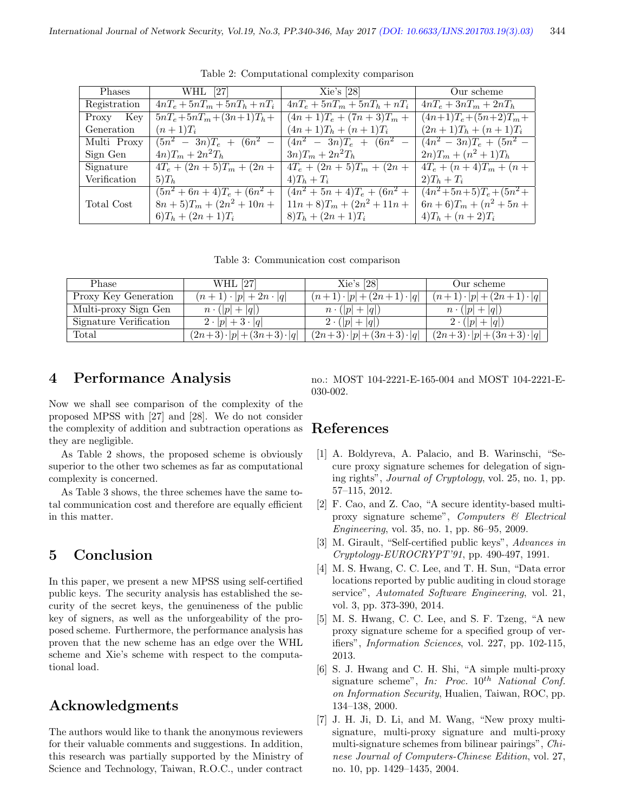| Phases       | 27 <br>WHL                     | Xie's $[28]$                   | Our scheme                 |
|--------------|--------------------------------|--------------------------------|----------------------------|
| Registration | $4nT_e + 5nT_m + 5nT_h + nT_i$ | $4nT_e + 5nT_m + 5nT_h + nT_i$ | $4nT_e + 3nT_m + 2nT_h$    |
| Proxy Key    | $5nT_e + 5nT_m + (3n+1)T_h +$  | $(4n+1)T_e + (7n+3)T_m +$      | $(4n+1)T_e + (5n+2)T_m +$  |
| Generation   | $(n+1)T_i$                     | $(4n+1)T_h + (n+1)T_i$         | $(2n+1)T_h + (n+1)T_i$     |
| Multi Proxy  | $(5n^2 - 3n)T_e + (6n^2 -$     | $(4n^2 - 3n)T_e + (6n^2 -$     | $(4n^2 - 3n)T_e + (5n^2 -$ |
| Sign Gen     | $(4n)T_m + 2n^2T_h$            | $(3n)T_m + 2n^2T_h$            | $(2n)T_m + (n^2 + 1)T_h$   |
| Signature    | $4T_e + (2n + 5)T_m + (2n +$   | $4T_e + (2n + 5)T_m + (2n +$   | $4T_e + (n+4)T_m + (n+$    |
| Verification | $5)T_h$                        | $4)T_h + T_i$                  | $2T_h + T_i$               |
|              | $(5n^2+6n+4)T_e+(6n^2+$        | $(4n^2+5n+4)T_e+(6n^2+$        | $(4n^2+5n+5)T_e+(5n^2+$    |
| Total Cost   | $(8n + 5)T_m + (2n^2 + 10n +$  | $11n+8)T_m + (2n^2+11n+$       | $(6n+6)T_m + (n^2+5n +$    |
|              | $6)T_h + (2n+1)T_i$            | $8)T_h + (2n+1)T_i$            | $4)T_h + (n+2)T_i$         |

Table 2: Computational complexity comparison

Table 3: Communication cost comparison

| Phase                  | WHL [27]                          | Xie's [28]                         | Our scheme                          |
|------------------------|-----------------------------------|------------------------------------|-------------------------------------|
| Proxy Key Generation   | $(n+1)\cdot  p  + 2n\cdot  q $    | $(n+1)\cdot  p  + (2n+1)\cdot  q $ | $(n+1)\cdot  p  + (2n+1)\cdot  q $  |
| Multi-proxy Sign Gen   | $n \cdot ( p + q )$               | $n \cdot ( p + q )$                | $n \cdot ( p + q )$                 |
| Signature Verification | $2\cdot  p +3\cdot  q $           | $2 \cdot ( p  +  q )$              | $2 \cdot ( p  +  q )$               |
| Total                  | $(2n+3)\cdot  p +(3n+3)\cdot  q $ | $(2n+3)\cdot  p +(3n+3)\cdot  q $  | $(2n+3)\cdot  p  + (3n+3)\cdot  q $ |

# 4 Performance Analysis

Now we shall see comparison of the complexity of the proposed MPSS with [27] and [28]. We do not consider the complexity of addition and subtraction operations as they are negligible.

As Table 2 shows, the proposed scheme is obviously superior to the other two schemes as far as computational complexity is concerned.

As Table 3 shows, the three schemes have the same total communication cost and therefore are equally efficient in this matter.

# 5 Conclusion

In this paper, we present a new MPSS using self-certified public keys. The security analysis has established the security of the secret keys, the genuineness of the public key of signers, as well as the unforgeability of the proposed scheme. Furthermore, the performance analysis has proven that the new scheme has an edge over the WHL scheme and Xie's scheme with respect to the computational load.

# Acknowledgments

The authors would like to thank the anonymous reviewers for their valuable comments and suggestions. In addition, this research was partially supported by the Ministry of Science and Technology, Taiwan, R.O.C., under contract

no.: MOST 104-2221-E-165-004 and MOST 104-2221-E-030-002.

#### References

- [1] A. Boldyreva, A. Palacio, and B. Warinschi, "Secure proxy signature schemes for delegation of signing rights", Journal of Cryptology, vol. 25, no. 1, pp. 57–115, 2012.
- [2] F. Cao, and Z. Cao, "A secure identity-based multiproxy signature scheme", Computers & Electrical Engineering, vol. 35, no. 1, pp. 86–95, 2009.
- [3] M. Girault, "Self-certified public keys", Advances in Cryptology-EUROCRYPT'91, pp. 490-497, 1991.
- [4] M. S. Hwang, C. C. Lee, and T. H. Sun, "Data error locations reported by public auditing in cloud storage service", Automated Software Engineering, vol. 21, vol. 3, pp. 373-390, 2014.
- [5] M. S. Hwang, C. C. Lee, and S. F. Tzeng, "A new proxy signature scheme for a specified group of verifiers", Information Sciences, vol. 227, pp. 102-115, 2013.
- [6] S. J. Hwang and C. H. Shi, "A simple multi-proxy signature scheme", In: Proc.  $10^{th}$  National Conf. on Information Security, Hualien, Taiwan, ROC, pp. 134–138, 2000.
- [7] J. H. Ji, D. Li, and M. Wang, "New proxy multisignature, multi-proxy signature and multi-proxy multi-signature schemes from bilinear pairings", Chinese Journal of Computers-Chinese Edition, vol. 27, no. 10, pp. 1429–1435, 2004.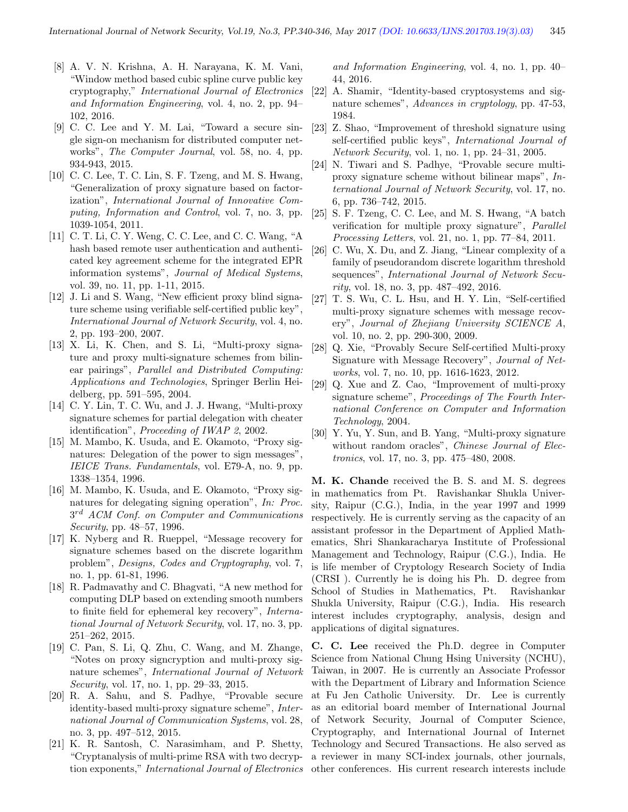- [8] A. V. N. Krishna, A. H. Narayana, K. M. Vani, "Window method based cubic spline curve public key cryptography," International Journal of Electronics and Information Engineering, vol. 4, no. 2, pp. 94– 102, 2016.
- [9] C. C. Lee and Y. M. Lai, "Toward a secure single sign-on mechanism for distributed computer networks", The Computer Journal, vol. 58, no. 4, pp. 934-943, 2015.
- [10] C. C. Lee, T. C. Lin, S. F. Tzeng, and M. S. Hwang, "Generalization of proxy signature based on factorization", International Journal of Innovative Computing, Information and Control, vol. 7, no. 3, pp. 1039-1054, 2011.
- [11] C. T. Li, C. Y. Weng, C. C. Lee, and C. C. Wang, "A hash based remote user authentication and authenticated key agreement scheme for the integrated EPR information systems", Journal of Medical Systems, vol. 39, no. 11, pp. 1-11, 2015.
- [12] J. Li and S. Wang, "New efficient proxy blind signature scheme using verifiable self-certified public key", International Journal of Network Security, vol. 4, no. 2, pp. 193–200, 2007.
- [13] X. Li, K. Chen, and S. Li, "Multi-proxy signature and proxy multi-signature schemes from bilinear pairings", Parallel and Distributed Computing: Applications and Technologies, Springer Berlin Heidelberg, pp. 591–595, 2004.
- [14] C. Y. Lin, T. C. Wu, and J. J. Hwang, "Multi-proxy signature schemes for partial delegation with cheater identification", Proceeding of IWAP 2, 2002.
- [15] M. Mambo, K. Usuda, and E. Okamoto, "Proxy signatures: Delegation of the power to sign messages", IEICE Trans. Fundamentals, vol. E79-A, no. 9, pp. 1338–1354, 1996.
- [16] M. Mambo, K. Usuda, and E. Okamoto, "Proxy signatures for delegating signing operation", In: Proc.  $3<sup>rd</sup>$  ACM Conf. on Computer and Communications Security, pp. 48–57, 1996.
- [17] K. Nyberg and R. Rueppel, "Message recovery for signature schemes based on the discrete logarithm problem", Designs, Codes and Cryptography, vol. 7, no. 1, pp. 61-81, 1996.
- [18] R. Padmavathy and C. Bhagvati, "A new method for computing DLP based on extending smooth numbers to finite field for ephemeral key recovery", International Journal of Network Security, vol. 17, no. 3, pp. 251–262, 2015.
- [19] C. Pan, S. Li, Q. Zhu, C. Wang, and M. Zhange, "Notes on proxy signcryption and multi-proxy signature schemes", International Journal of Network Security, vol. 17, no. 1, pp. 29–33, 2015.
- [20] R. A. Sahu, and S. Padhye, "Provable secure identity-based multi-proxy signature scheme", International Journal of Communication Systems, vol. 28, no. 3, pp. 497–512, 2015.
- [21] K. R. Santosh, C. Narasimham, and P. Shetty, "Cryptanalysis of multi-prime RSA with two decryption exponents," International Journal of Electronics

and Information Engineering, vol. 4, no. 1, pp. 40– 44, 2016.

- [22] A. Shamir, "Identity-based cryptosystems and signature schemes", Advances in cryptology, pp. 47-53, 1984.
- [23] Z. Shao, "Improvement of threshold signature using self-certified public keys", International Journal of Network Security, vol. 1, no. 1, pp. 24–31, 2005.
- [24] N. Tiwari and S. Padhye, "Provable secure multiproxy signature scheme without bilinear maps", International Journal of Network Security, vol. 17, no. 6, pp. 736–742, 2015.
- [25] S. F. Tzeng, C. C. Lee, and M. S. Hwang, "A batch verification for multiple proxy signature", Parallel Processing Letters, vol. 21, no. 1, pp. 77–84, 2011.
- [26] C. Wu, X. Du, and Z. Jiang, "Linear complexity of a family of pseudorandom discrete logarithm threshold sequences", International Journal of Network Security, vol. 18, no. 3, pp. 487–492, 2016.
- [27] T. S. Wu, C. L. Hsu, and H. Y. Lin, "Self-certified multi-proxy signature schemes with message recovery", Journal of Zhejiang University SCIENCE A, vol. 10, no. 2, pp. 290-300, 2009.
- [28] Q. Xie, "Provably Secure Self-certified Multi-proxy Signature with Message Recovery", Journal of Networks, vol. 7, no. 10, pp. 1616-1623, 2012.
- [29] Q. Xue and Z. Cao, "Improvement of multi-proxy signature scheme", Proceedings of The Fourth International Conference on Computer and Information Technology, 2004.
- [30] Y. Yu, Y. Sun, and B. Yang, "Multi-proxy signature without random oracles", Chinese Journal of Electronics, vol. 17, no. 3, pp. 475–480, 2008.

M. K. Chande received the B. S. and M. S. degrees in mathematics from Pt. Ravishankar Shukla University, Raipur (C.G.), India, in the year 1997 and 1999 respectively. He is currently serving as the capacity of an assistant professor in the Department of Applied Mathematics, Shri Shankaracharya Institute of Professional Management and Technology, Raipur (C.G.), India. He is life member of Cryptology Research Society of India (CRSI ). Currently he is doing his Ph. D. degree from School of Studies in Mathematics, Pt. Ravishankar Shukla University, Raipur (C.G.), India. His research interest includes cryptography, analysis, design and applications of digital signatures.

C. C. Lee received the Ph.D. degree in Computer Science from National Chung Hsing University (NCHU), Taiwan, in 2007. He is currently an Associate Professor with the Department of Library and Information Science at Fu Jen Catholic University. Dr. Lee is currently as an editorial board member of International Journal of Network Security, Journal of Computer Science, Cryptography, and International Journal of Internet Technology and Secured Transactions. He also served as a reviewer in many SCI-index journals, other journals, other conferences. His current research interests include